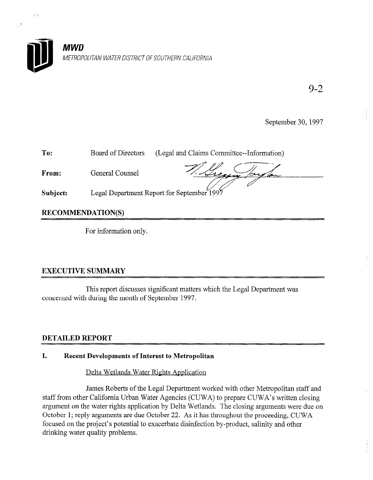

9-2

 $\frac{1}{\epsilon}$ 

September 30, 1997

| To:      | Board of Directors                         | (Legal and Claims Committee--Information) |
|----------|--------------------------------------------|-------------------------------------------|
| From:    | General Counsel                            |                                           |
| Subject: | Legal Department Report for September 1997 |                                           |

RECOMMENDATION(S)

 $e^{\phi}$ 

For information only.

# EXECUTIVE SUMMARY

This report discusses significant matters which the Legal Department was concerned with during the month of September 1997.

Delta Wetlands Water Rights Application

James Roberts of the Legal Department worked with other Metropolitan staff and staff from other California Urban Water Agencies (CUWA) to prepare CUWA's written closing argument on the water rights application by Delta Wetlands. The closing arguments were due on October 1; reply arguments are due October 22. As it has throughout the proceeding, CUWA focused on the project's potential to exacerbate disinfection by-product, salinity and other drinking water quality problems.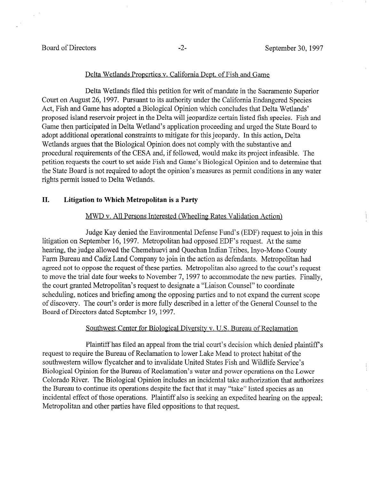$\mathcal{L}_{\mathrm{eff}}$ 

#### Delta Wetlands Properties y. California Dept. of Fish and Game

Delta Wetlands filed this petition for writ of mandate in the Sacramento Superior Court on August 26, 1997. Pursuant to its authority under the California Endangered Species Act, Fish and Game has adopted a Biological Opinion which concludes that Delta Wetlands' proposed island reservoir project in the Delta will jeopardize certain listed fish species. Fish and Game then participated in Delta Wetland's application proceeding and urged the State Board to adopt additional operational constraints to mitigate for this jeopardy. In this action, Delta Wetlands argues that the Biological Opinion does not comply with the substantive and procedural requirements of the CESA and, if followed, would make its project infeasible. The petition requests the court to set aside Fish and Game's Biological Opinion and to determine that the State Board is not required to adopt the opinion's measures as permit conditions in any water rights permit issued to Delta Wetlands.

# II. Litigation to Which Metropolitan is a Party

#### MWD v. All Persons Interested (Wheeling Rates Validation Action)

Judge Kay denied the Environmental Defense Fund's (EDF) request to join in this litigation on September 16, 1997. Metropolitan had opposed EDF's request. At the same hearing, the judge allowed the Chemehuevi and Quechan Indian Tribes, Inyo-Mono County Farm Bureau and Cadiz Land Company to join in the action as defendants. Metropolitan had agreed not to oppose the request of these parties. Metropolitan also agreed to the court's request to move the trial date four weeks to November 7, 1997 to accommodate the new parties. Finally, the court granted Metropolitan's request to designate a "Liaison Counsel" to coordinate ing court granted briefing and briefing and brightance and the mason countries to coordinate scribed in growth, the court of discovery. The court is more fully described in a letter of the General Counsel to the General Scope of discovery. The court's order is more fully described in a letter of the General Counsel to the Board of Directors dated September 19, 1997.

#### Southwest Center for Biological Diversity v. U.S. Bureau of Reclamation

Plaintiff has filed an appeal from the trial court's decision which denied plaintiff's request to require the Bureau of Reclamation to lower Lake Mead to protect habitat of the southwestern willow flycatcher and to invalidate United States Fish and Wildlife Service's Biological Opinion for the Bureau of Reclamation's water and power operations on the Lower Colorado River. The Biological Opinion includes an incidental take authorization that authorizes the Bureau to continue its operations despite the fact that it may "take" listed species as an incidental effect of those operations. Plaintiff also is seeking an expedited hearing on the appeal; Metropolitan and other parties have filed oppositions to that request.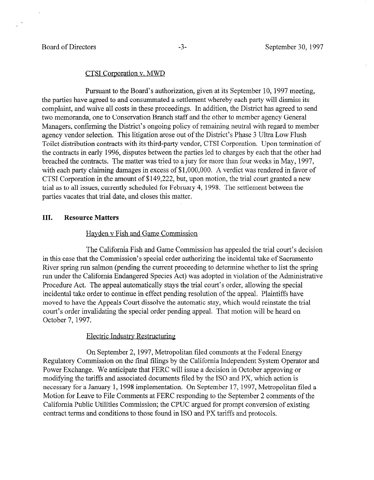#### CTSI Corporation v. MWD

Pursuant to the Board's authorization, given at its September 10, 1997 meeting, the parties have agreed to and consummated a settlement whereby each party will dismiss its complaint, and waive all costs in these proceedings. In addition, the District has agreed to send two memoranda, one to Conservation Branch staff and the other to member agency General Managers, confirming the District's ongoing policy of remaining neutral with regard to member agency vendor selection. This litigation arose out of the District's Phase 3 Ultra Low Flush Toilet distribution contracts with its third-party vendor, CTSI Corporation. Upon termination of the contracts in early 1996, disputes between the parties led to charges by each that the other had breached the contracts. The matter was tried to a jury for more than four weeks in May, 1997, with each party claiming damages in excess of \$1,000,000. A verdict was rendered in favor of CTSI Corporation in the amount of \$149,222, but, upon motion, the trial court granted a new trial as to all issues, currently scheduled for February 4, 1998. The settlement between the parties vacates that trial date, and closes this matter.

# III. Resource Matters

### Havden v Fish and Game Commission

The California Fish and Game Commission has appealed the trial court's decision in this case that the Commission's special order authorizing the incidental take of Sacramento River spring run salmon (pending the current proceeding to determine whether to list the spring run under the California Endangered Species Act) was adopted in violation of the Administrative Procedure Act. The appeal automatically stays the trial court's order, allowing the special incidental take order to continue in effect pending resolution of the appeal. Plaintiffs have moved to have the Appeals Court dissolve the automatic stay, which would reinstate the trial court's order invalidating the special order pending appeal. That motion will be heard on October 7, 1997.

### Electric Industry Restructuring

On September 2, 1997, Metropolitan filed comments at the Federal Energy Regulatory Commission on the final filings by the California Independent System Operator and Power Exchange. We anticipate that FERC will issue a decision in October approving or modifying the tariffs and associated documents filed by the IS0 and PX, which action is necessary for a January 1, 1998 implementation. On September 17, 1997, Metropolitan filed a Motion for Leave to File Comments at FERC responding to the September 2 comments of the California Public Utilities Commission; the CPUC argued for prompt conversion of existing contract terms and conditions to those found in IS0 and PX tariffs and protocols.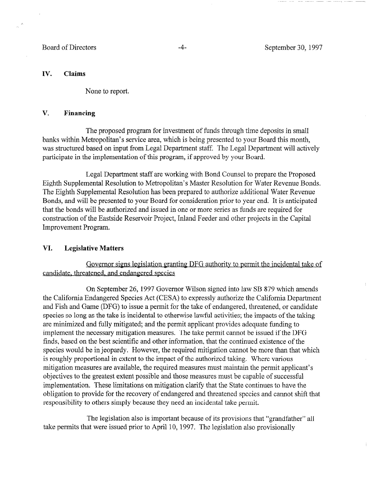## IV. Claims

None to report.

## V. Financing

The proposed program for investment of funds through time deposits in small banks within Metropolitan's service area, which is being presented to your Board this month, was structured based on input from Legal Department staff. The Legal Department will actively participate in the implementation of this program, if approved by your Board.

Legal Department staff are working with Bond Counsel to prepare the Proposed Eighth Supplemental Resolution to Metropolitan's Master Resolution for Water Revenue Bonds. The Eighth Supplemental Resolution has been prepared to authorize additional Water Revenue Bonds, and will be presented to your Board for consideration prior to year end. It is anticipated that the bonds will be authorized and issued in one or more series as funds are required for construction of the Eastside Reservoir Project, Inland Feeder and other projects in the Capital Improvement Program.

# VI. Legislative Matters

Governor signs legislation granting DFG authority to permit the incidental take of candidate, threatened, and endangered species

On September 26, 1997 Governor Wilson signed into law SB 879 which amends the California Endangered Species Act (CESA) to expressly authorize the California Department and Fish and Game (DFG) to issue a permit for the take of endangered, threatened, or candidate species so long as the take is incidental to otherwise lawful activities; the impacts of the taking are minimized and fully mitigated; and the permit applicant provides adequate funding to implement the necessary mitigation measures. The take permit cannot be issued if the DFG finds, based on the best scientific and other information, that the continued existence of the species would be in jeopardy. However, the required mitigation cannot be more than that which is roughly proportional in extent to the impact of the authorized taking. Where various mitigation measures are available, the required measures must maintain the permit applicant's objectives to the greatest extent possible and those measures must be capable of successful implementation. These limitations on mitigation clarify that the State continues to have the obligation to provide for the recovery of endangered and threatened species and cannot shift that responsibility to others simply because they need an incidental take permit.

The legislation also is important because of its provisions that "grandfather" all take permits that were issued prior to April 10, 1997. The legislation also provisionally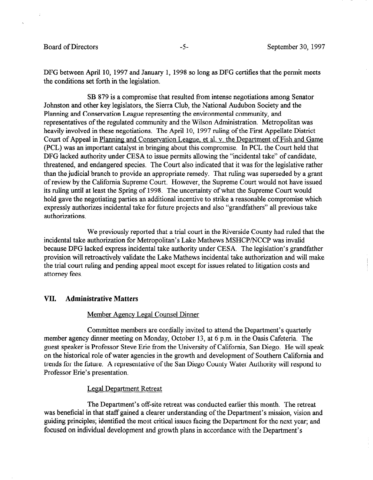DFG between April 10, 1997 and January 1, 1998 so long as DFG certifies that the permit meets the conditions set forth in the legislation.

SB 879 is a compromise that resulted from intense negotiations among Senator Johnston and other key legislators, the Sierra Club, the National Audubon Society and the Planning and Conservation League representing the environmental community, and representatives of the regulated community and the Wilson Administration. Metropolitan was heavily involved in these negotiations. The April 10, 1997 ruling of the First Appellate District Court of Appeal in Planning. and Conservation League, et al. v. the Department of Fish and Game (PCL) was an important catalyst in bringing about this compromise. In PCL the Court held that DFG lacked authority under CESA to issue permits allowing the "incidental take" of candidate, threatened, and endangered species. The Court also indicated that it was for the legislative rather than the judicial branch to provide an appropriate remedy. That ruling was superseded by a grant of review by the California Supreme Court. However, the Supreme Court would not have issued its ruling until at least the Spring of 1998. The uncertainty of what the Supreme Court would hold gave the negotiating parties an additional incentive to strike a reasonable compromise which expressly authorizes incidental take for future projects and also "grandfathers" all previous take authorizations.

We previously reported that a trial court in the Riverside County had ruled that the incidental take authorization for Metropolitan's Lake Mathews MSHCP/NCCP was invalid because DFG lacked express incidental take authority under CESA. The legislation's grandfather provision will retroactively validate the Lake Mathews incidental take authorization and will make the trial court ruling and pending appeal moot except for issues related to litigation costs and attorney fees.

# VII. Administrative Matters

#### Member Agency Legal Counsel Dinner

Committee members are cordially invited to attend the Department's quarterly member agency dinner meeting on Monday, October 13, at 6 p.m. in the Oasis Cafeteria. The guest speaker is Professor Steve Erie from the University of California, San Diego. He will speak on the historical role of water agencies in the growth and development of Southern California and trends for the future. A representative of the San Diego County Water Authority will respond to Professor Erie's presentation.

#### Legal Department Retreat

The Department's off-site retreat was conducted earlier this month. The retreat was beneficial in that staff gained a clearer understanding of the Department's mission, vision and guiding principles; identified the most critical issues facing the Department for the next year; and focused on individual development and growth plans in accordance with the Department's